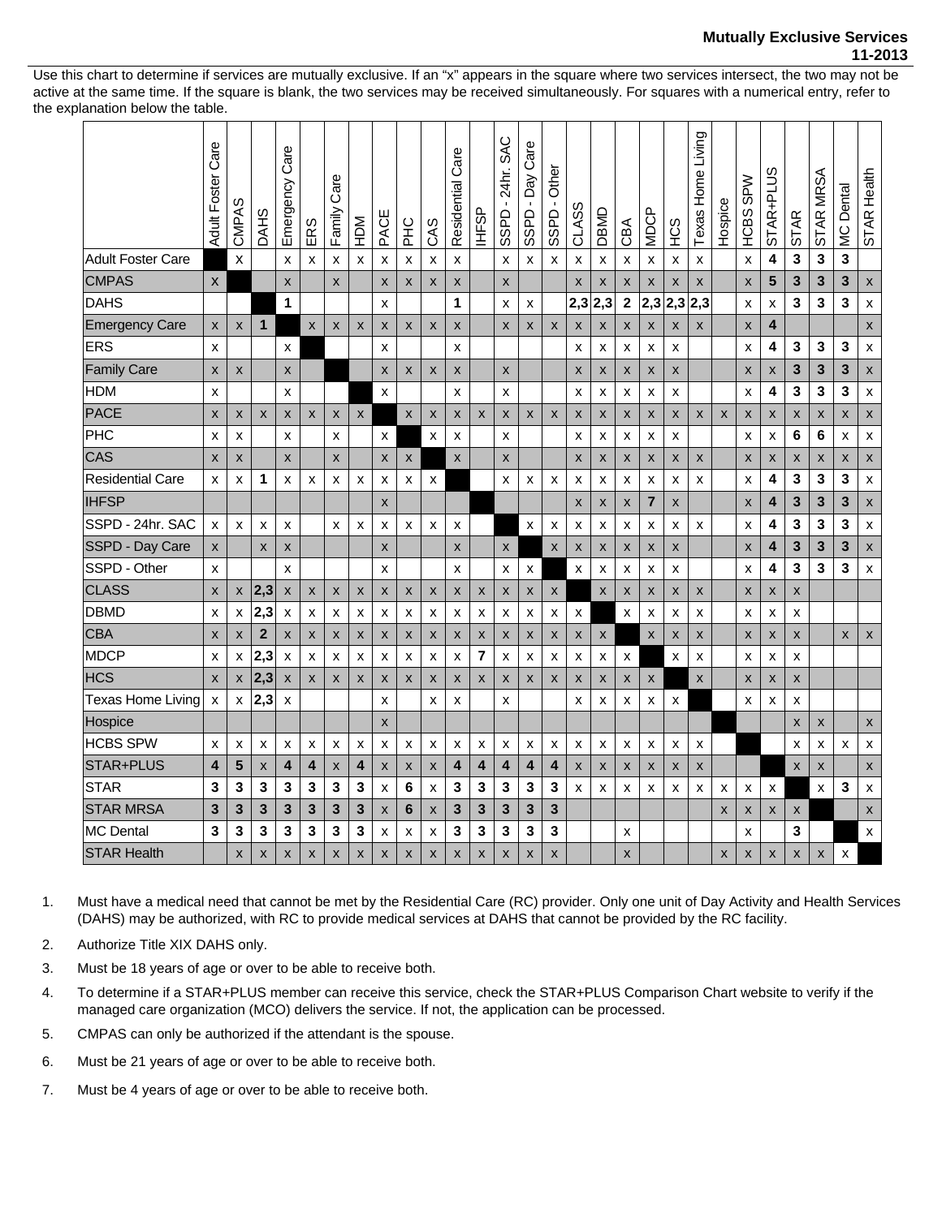## **Mutually Exclusive Services 11-2013**

Use this chart to determine if services are mutually exclusive. If an "x" appears in the square where two services intersect, the two may not be active at the same time. If the square is blank, the two services may be received simultaneously. For squares with a numerical entry, refer to the explanation below the table.

|                          | Care<br><b>Adult Foster</b> | ഗ<br><b>CMPA</b>   | DAHS           | Care<br>Emergency         | ERS                       | Care<br>Family | МGH                       | PACE                      | 오<br>도                    | CAS                | Care<br>Residential       | <b>BSHI</b>    | <b>SAC</b><br>24hr.<br>SSPD | Care<br>Day<br>$\mathbf{I}$<br>SSPD | <b>Other</b><br>$\blacksquare$<br>SSPD | CLASS              | OBMD                      | CBA          | <b>MDCP</b>    | <b>HCS</b>         | Texas Home Living | Hospice | <b>SPW</b><br>HCBS | STAR+PLUS          | <b>STAR</b> | STAR MRSA | <b>MC</b> Dental | STAR Health               |
|--------------------------|-----------------------------|--------------------|----------------|---------------------------|---------------------------|----------------|---------------------------|---------------------------|---------------------------|--------------------|---------------------------|----------------|-----------------------------|-------------------------------------|----------------------------------------|--------------------|---------------------------|--------------|----------------|--------------------|-------------------|---------|--------------------|--------------------|-------------|-----------|------------------|---------------------------|
| <b>Adult Foster Care</b> |                             | $\mathsf{x}$       |                | $\boldsymbol{\mathsf{x}}$ | X                         | X              | X                         | X                         | X                         | X                  | X                         |                | X                           | x                                   | X                                      | X                  | x                         | x            | x              | x                  | x                 |         | X                  | 4                  | 3           | 3         | 3                |                           |
| <b>CMPAS</b>             | $\boldsymbol{\mathsf{X}}$   |                    |                | $\pmb{\times}$            |                           | $\pmb{\times}$ |                           | $\boldsymbol{\mathsf{x}}$ | $\boldsymbol{\mathsf{x}}$ | X                  | X                         |                | X                           |                                     |                                        | $\pmb{\times}$     | X                         | X            | $\pmb{\times}$ | $\pmb{\times}$     | X                 |         | X                  | 5                  | 3           | 3         | 3                | $\pmb{\mathsf{X}}$        |
| <b>DAHS</b>              |                             |                    |                | 1                         |                           |                |                           | X                         |                           |                    | 1                         |                | x                           | x                                   |                                        | 2,3                | 2,3                       | $\mathbf{2}$ | 2,3            | 2,3                | 2,3               |         | x                  | X                  | 3           | 3         | 3                | X                         |
| <b>Emergency Care</b>    | X                           | $\mathsf{x}$       | $\mathbf{1}$   |                           | $\boldsymbol{\mathsf{x}}$ | $\mathsf{x}$   | $\mathsf{x}$              | $\boldsymbol{\mathsf{x}}$ | $\mathsf{x}$              | $\mathsf{x}$       | $\boldsymbol{\mathsf{X}}$ |                | $\boldsymbol{\mathsf{X}}$   | $\mathsf{x}$                        | $\mathsf{x}$                           | X                  | $\mathsf{x}$              | X            | X              | X                  | X                 |         | X                  | 4                  |             |           |                  | $\pmb{\times}$            |
| <b>ERS</b>               | X                           |                    |                | X                         |                           |                |                           | X                         |                           |                    | x                         |                |                             |                                     |                                        | x                  | x                         | x            | x              | x                  |                   |         | X                  | 4                  | 3           | 3         | 3                | X                         |
| <b>Family Care</b>       | X                           | X                  |                | X                         |                           |                |                           | $\boldsymbol{\mathsf{x}}$ | $\boldsymbol{\mathsf{x}}$ | X                  | $\boldsymbol{\mathsf{x}}$ |                | $\boldsymbol{\mathsf{x}}$   |                                     |                                        | X                  | X                         | X            | X              | X                  |                   |         | X                  | X                  | 3           | 3         | 3                | $\pmb{\times}$            |
| <b>HDM</b>               | X                           |                    |                | X                         |                           |                |                           | X                         |                           |                    | x                         |                | x                           |                                     |                                        | x                  | x                         | x            | x              | x                  |                   |         | x                  | 4                  | 3           | 3         | 3                | X                         |
| PACE                     | X                           | X                  | X              | $\pmb{\times}$            | $\boldsymbol{\mathsf{x}}$ | X              | $\mathsf{x}$              |                           | X                         | X                  | X                         | X              | X                           | X                                   | X                                      | X                  | X                         | X            | X              | X                  | X                 | X       | X                  | X                  | X           | X         | X                | X                         |
| PHC                      | X                           | X                  |                | X                         |                           | X              |                           | X                         |                           | x                  | X                         |                | X                           |                                     |                                        | x                  | x                         | x            | x              | X                  |                   |         | x                  | X                  | 6           | 6         | x                | X                         |
| CAS                      | X                           | X                  |                | X                         |                           | X              |                           | $\boldsymbol{\mathsf{x}}$ | $\pmb{\mathsf{X}}$        |                    | X                         |                | X                           |                                     |                                        | X                  | X                         | X            | X              | X                  | X                 |         | X                  | X                  | x           | X         | X                | $\pmb{\mathsf{x}}$        |
| <b>Residential Care</b>  | X                           | x                  | 1              | X                         | $\boldsymbol{\mathsf{x}}$ | X              | X                         | X                         | X                         | X                  |                           |                | X                           | x                                   | X                                      | $\pmb{\times}$     | X                         | x            | x              | x                  | x                 |         | x                  | 4                  | 3           | 3         | 3                | X                         |
| <b>IHFSP</b>             |                             |                    |                |                           |                           |                |                           | $\boldsymbol{\mathsf{x}}$ |                           |                    |                           |                |                             |                                     |                                        | $\pmb{\mathsf{X}}$ | X                         | x            | 7              | X                  |                   |         | X                  | 4                  | 3           | 3         | 3                | X                         |
| SSPD - 24hr. SAC         | $\pmb{\times}$              | X                  | X              | X                         |                           | X              | X                         | X                         | X                         | $\pmb{\times}$     | X                         |                |                             | x                                   | X                                      | X                  | X                         | x            | x              | x                  | X                 |         | x                  | 4                  | 3           | 3         | 3                | X                         |
| SSPD - Day Care          | $\pmb{\mathsf{X}}$          |                    | $\pmb{\times}$ | $\pmb{\times}$            |                           |                |                           | $\boldsymbol{\mathsf{x}}$ |                           |                    | X                         |                | $\pmb{\times}$              |                                     | X                                      | $\pmb{\mathsf{X}}$ | X                         | X            | X              | X                  |                   |         | X                  | 4                  | 3           | 3         | 3                | $\pmb{\mathsf{X}}$        |
| SSPD - Other             | X                           |                    |                | X                         |                           |                |                           | X                         |                           |                    | x                         |                | X                           | X                                   |                                        | X                  | X                         | x            | x              | X                  |                   |         | X                  | 4                  | 3           | 3         | 3                | $\boldsymbol{\mathsf{x}}$ |
| <b>CLASS</b>             | $\boldsymbol{\mathsf{x}}$   | X                  | 2,3            | $\pmb{\mathsf{X}}$        | X                         | X              | $\pmb{\mathsf{X}}$        | $\pmb{\times}$            | $\pmb{\times}$            | $\pmb{\mathsf{X}}$ | X                         | $\pmb{\times}$ | $\pmb{\mathsf{x}}$          | X                                   | X                                      |                    | X                         | X            | X              | X                  | X                 |         | X                  | X                  | X           |           |                  |                           |
| <b>DBMD</b>              | X                           | x                  | 2,3            | $\boldsymbol{\mathsf{x}}$ | X                         | X              | X                         | X                         | X                         | X                  | X                         | X              | X                           | x                                   | X                                      | X                  |                           | X            | x              | X                  | x                 |         | X                  | x                  | X           |           |                  |                           |
| CBA                      | $\boldsymbol{\mathsf{x}}$   | $\pmb{\mathsf{X}}$ | $\mathbf{2}$   | $\pmb{\times}$            | $\boldsymbol{\mathsf{x}}$ | X              | $\boldsymbol{\mathsf{x}}$ | $\boldsymbol{\mathsf{x}}$ | $\boldsymbol{\mathsf{x}}$ | X                  | $\mathsf{x}$              | X              | X                           | X                                   | X                                      | X                  | $\boldsymbol{\mathsf{x}}$ |              | X              | X                  | X                 |         | X                  | X                  | X           |           | X                | X                         |
| <b>MDCP</b>              | X                           | X                  | 2,3            | X                         | $\boldsymbol{\mathsf{x}}$ | X              | X                         | X                         | X                         | X                  | X                         | 7              | X                           | x                                   | x                                      | x                  | x                         | X            |                | X                  | X                 |         | X                  | X                  | X           |           |                  |                           |
| <b>HCS</b>               | $\pmb{\times}$              | $\mathsf{x}$       | 2,3            | $\boldsymbol{\mathsf{x}}$ | X                         | X              | $\boldsymbol{\mathsf{x}}$ | X                         | $\boldsymbol{\mathsf{x}}$ | X                  | X                         | X              | X                           | X                                   | X                                      | X                  | X                         | X            | X              |                    | X                 |         | X                  | X                  | X           |           |                  |                           |
| <b>Texas Home Living</b> | X                           | X                  | 2,3            | X                         |                           |                |                           | X                         |                           | X                  | X                         |                | x                           |                                     |                                        | X                  | x                         | x            | x              | x                  |                   |         | X                  | x                  | X           |           |                  |                           |
| Hospice                  |                             |                    |                |                           |                           |                |                           | $\mathsf{x}$              |                           |                    |                           |                |                             |                                     |                                        |                    |                           |              |                |                    |                   |         |                    |                    | X           | X         |                  | X                         |
| <b>HCBS SPW</b>          | X                           | X                  | X              | X                         | X                         | X              | X                         | X                         | X                         | X                  | X                         | X              | X                           | x                                   | x                                      | x                  | x                         | x            | x              | x                  | x                 |         |                    |                    | x           | x         | x                | X                         |
| STAR+PLUS                | 4                           | 5                  | X              | 4                         | 4                         | X              | 4                         | $\pmb{\times}$            | $\boldsymbol{\mathsf{x}}$ | X                  | 4                         | 4              | 4                           | 4                                   | 4                                      | X                  | X                         | X            | X              | $\pmb{\mathsf{x}}$ | X                 |         |                    |                    | X           | X         |                  | $\pmb{\mathsf{X}}$        |
| <b>STAR</b>              | 3                           | 3                  | 3              | 3                         | 3                         | 3              | 3                         | X                         | 6                         | х                  | 3                         | 3              | 3                           | 3                                   | 3                                      | X                  | х                         | х            | x              | x                  | x                 | x       | x                  | X                  |             | x         | 3                | X                         |
| <b>STAR MRSA</b>         | 3                           | 3                  | 3              | 3                         | 3                         | 3              | 3                         | X                         | 6                         | x                  | 3                         | 3              | 3                           | 3                                   | 3                                      |                    |                           |              |                |                    |                   | X       | X                  | X                  | X           |           |                  | $\pmb{\times}$            |
| <b>MC Dental</b>         | 3                           | 3                  | 3              | 3                         | 3                         | 3              | 3                         | X                         | x                         | х                  | 3                         | 3              | 3                           | 3                                   | 3                                      |                    |                           | x            |                |                    |                   |         | x                  |                    | 3           |           |                  | X                         |
| <b>STAR Health</b>       |                             | X                  | X              | X                         | X                         | X              | X                         | X                         | $\pmb{\times}$            | X                  | X                         | X              | X                           | X                                   | $\pmb{\times}$                         |                    |                           | X            |                |                    |                   | X       | X                  | $\pmb{\mathsf{X}}$ | X           | X         | X                |                           |

1. Must have a medical need that cannot be met by the Residential Care (RC) provider. Only one unit of Day Activity and Health Services (DAHS) may be authorized, with RC to provide medical services at DAHS that cannot be provided by the RC facility.

- 2. Authorize Title XIX DAHS only.
- 3. Must be 18 years of age or over to be able to receive both.
- 4. To determine if a STAR+PLUS member can receive this service, check the STAR+PLUS Comparison Chart website to verify if the managed care organization (MCO) delivers the service. If not, the application can be processed.
- 5. CMPAS can only be authorized if the attendant is the spouse.
- 6. Must be 21 years of age or over to be able to receive both.
- 7. Must be 4 years of age or over to be able to receive both.